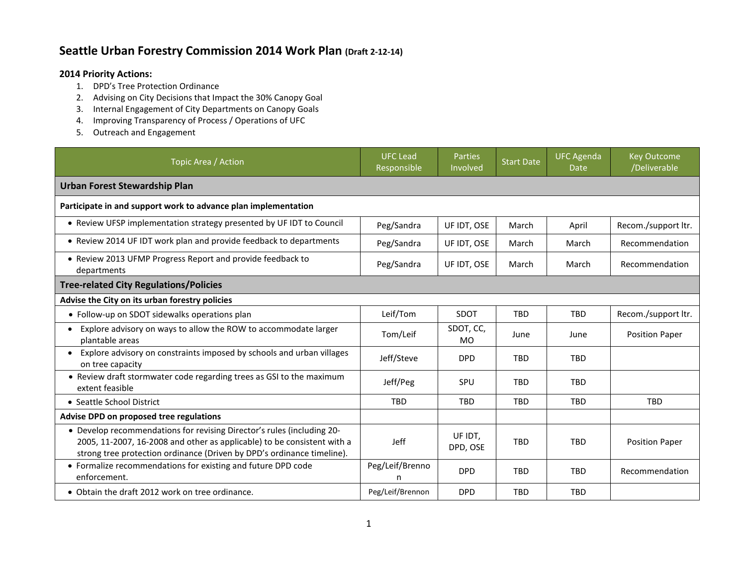## **Seattle Urban Forestry Commission 2014 Work Plan (Draft 2-12-14)**

## **2014 Priority Actions:**

- 1. DPD's Tree Protection Ordinance
- 2. Advising on City Decisions that Impact the 30% Canopy Goal
- 3. Internal Engagement of City Departments on Canopy Goals
- 4. Improving Transparency of Process / Operations of UFC
- 5. Outreach and Engagement

| Topic Area / Action                                                                                                                                                                                                         | <b>UFC Lead</b><br>Responsible | Parties<br>Involved    | <b>Start Date</b> | <b>UFC Agenda</b><br>Date | <b>Key Outcome</b><br>/Deliverable |  |  |  |
|-----------------------------------------------------------------------------------------------------------------------------------------------------------------------------------------------------------------------------|--------------------------------|------------------------|-------------------|---------------------------|------------------------------------|--|--|--|
| <b>Urban Forest Stewardship Plan</b>                                                                                                                                                                                        |                                |                        |                   |                           |                                    |  |  |  |
| Participate in and support work to advance plan implementation                                                                                                                                                              |                                |                        |                   |                           |                                    |  |  |  |
| • Review UFSP implementation strategy presented by UF IDT to Council                                                                                                                                                        | Peg/Sandra                     | UF IDT, OSE            | March             | April                     | Recom./support ltr.                |  |  |  |
| • Review 2014 UF IDT work plan and provide feedback to departments                                                                                                                                                          | Peg/Sandra                     | UF IDT, OSE            | March             | March                     | Recommendation                     |  |  |  |
| • Review 2013 UFMP Progress Report and provide feedback to<br>departments                                                                                                                                                   | Peg/Sandra                     | UF IDT, OSE            | March             | March                     | Recommendation                     |  |  |  |
| <b>Tree-related City Regulations/Policies</b>                                                                                                                                                                               |                                |                        |                   |                           |                                    |  |  |  |
| Advise the City on its urban forestry policies                                                                                                                                                                              |                                |                        |                   |                           |                                    |  |  |  |
| • Follow-up on SDOT sidewalks operations plan                                                                                                                                                                               | Leif/Tom                       | SDOT                   | <b>TBD</b>        | <b>TBD</b>                | Recom./support ltr.                |  |  |  |
| Explore advisory on ways to allow the ROW to accommodate larger<br>plantable areas                                                                                                                                          | Tom/Leif                       | SDOT, CC,<br><b>MO</b> | June              | June                      | <b>Position Paper</b>              |  |  |  |
| Explore advisory on constraints imposed by schools and urban villages<br>on tree capacity                                                                                                                                   | Jeff/Steve                     | <b>DPD</b>             | <b>TRD</b>        | <b>TBD</b>                |                                    |  |  |  |
| • Review draft stormwater code regarding trees as GSI to the maximum<br>extent feasible                                                                                                                                     | Jeff/Peg                       | SPU                    | <b>TBD</b>        | <b>TBD</b>                |                                    |  |  |  |
| • Seattle School District                                                                                                                                                                                                   | <b>TBD</b>                     | <b>TBD</b>             | <b>TBD</b>        | <b>TBD</b>                | <b>TBD</b>                         |  |  |  |
| Advise DPD on proposed tree regulations                                                                                                                                                                                     |                                |                        |                   |                           |                                    |  |  |  |
| • Develop recommendations for revising Director's rules (including 20-<br>2005, 11-2007, 16-2008 and other as applicable) to be consistent with a<br>strong tree protection ordinance (Driven by DPD's ordinance timeline). | Jeff                           | UF IDT,<br>DPD, OSE    | <b>TBD</b>        | <b>TBD</b>                | <b>Position Paper</b>              |  |  |  |
| • Formalize recommendations for existing and future DPD code<br>enforcement.                                                                                                                                                | Peg/Leif/Brenno<br>n           | <b>DPD</b>             | <b>TBD</b>        | <b>TBD</b>                | Recommendation                     |  |  |  |
| • Obtain the draft 2012 work on tree ordinance.                                                                                                                                                                             | Peg/Leif/Brennon               | <b>DPD</b>             | <b>TBD</b>        | <b>TBD</b>                |                                    |  |  |  |